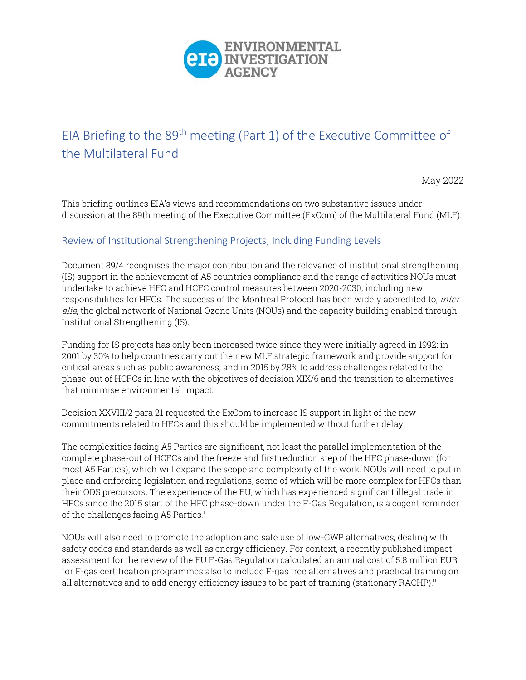

## EIA Briefing to the 89<sup>th</sup> meeting (Part 1) of the Executive Committee of the Multilateral Fund

May 2022

This briefing outlines EIA's views and recommendations on two substantive issues under discussion at the 89th meeting of the Executive Committee (ExCom) of the Multilateral Fund (MLF).

## Review of Institutional Strengthening Projects, Including Funding Levels

Document 89/4 recognises the major contribution and the relevance of institutional strengthening (IS) support in the achievement of A5 countries compliance and the range of activities NOUs must undertake to achieve HFC and HCFC control measures between 2020-2030, including new responsibilities for HFCs. The success of the Montreal Protocol has been widely accredited to, *inter* alia, the global network of National Ozone Units (NOUs) and the capacity building enabled through Institutional Strengthening (IS).

Funding for IS projects has only been increased twice since they were initially agreed in 1992: in 2001 by 30% to help countries carry out the new MLF strategic framework and provide support for critical areas such as public awareness; and in 2015 by 28% to address challenges related to the phase-out of HCFCs in line with the objectives of decision XIX/6 and the transition to alternatives that minimise environmental impact.

Decision XXVIII/2 para 21 requested the ExCom to increase IS support in light of the new commitments related to HFCs and this should be implemented without further delay.

The complexities facing A5 Parties are significant, not least the parallel implementation of the complete phase-out of HCFCs and the freeze and first reduction step of the HFC phase-down (for most A5 Parties), which will expand the scope and complexity of the work. NOUs will need to put in place and enforcing legislation and regulations, some of which will be more complex for HFCs than their ODS precursors. The experience of the EU, which has experienced significant illegal trade in HFCs since the 2015 start of the HFC phase-down under the F-Gas Regulation, is a cogent reminder of the challenges facing A5 Parties.<sup>i</sup>

NOUs will also need to promote the adoption and safe use of low-GWP alternatives, dealing with safety codes and standards as well as energy efficiency. For context, a recently published impact assessment for the review of the EU F-Gas Regulation calculated an annual cost of 5.8 million EUR for F-gas certification programmes also to include F-gas free alternatives and practical training on all alternatives and to add energy efficiency issues to be part of training (stationary RACHP). $^{\rm{ii}}$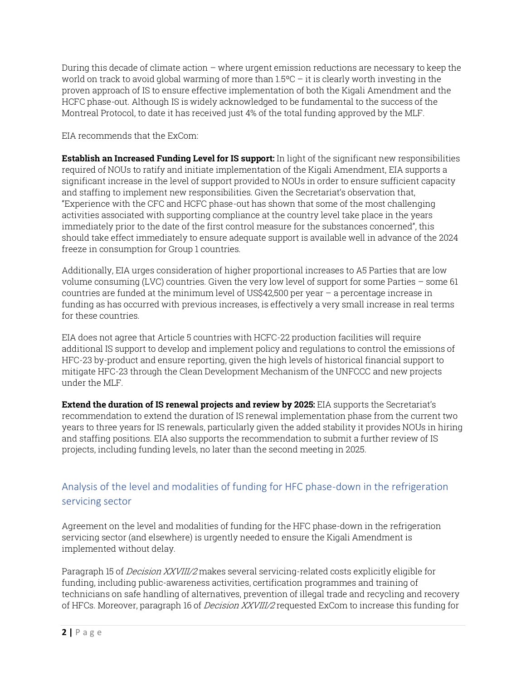During this decade of climate action – where urgent emission reductions are necessary to keep the world on track to avoid global warming of more than  $1.5^{\circ}C - it$  is clearly worth investing in the proven approach of IS to ensure effective implementation of both the Kigali Amendment and the HCFC phase-out. Although IS is widely acknowledged to be fundamental to the success of the Montreal Protocol, to date it has received just 4% of the total funding approved by the MLF.

EIA recommends that the ExCom:

**Establish an Increased Funding Level for IS support:** In light of the significant new responsibilities required of NOUs to ratify and initiate implementation of the Kigali Amendment, EIA supports a significant increase in the level of support provided to NOUs in order to ensure sufficient capacity and staffing to implement new responsibilities. Given the Secretariat's observation that, "Experience with the CFC and HCFC phase-out has shown that some of the most challenging activities associated with supporting compliance at the country level take place in the years immediately prior to the date of the first control measure for the substances concerned", this should take effect immediately to ensure adequate support is available well in advance of the 2024 freeze in consumption for Group 1 countries.

Additionally, EIA urges consideration of higher proportional increases to A5 Parties that are low volume consuming (LVC) countries. Given the very low level of support for some Parties – some 61 countries are funded at the minimum level of US\$42,500 per year – a percentage increase in funding as has occurred with previous increases, is effectively a very small increase in real terms for these countries.

EIA does not agree that Article 5 countries with HCFC-22 production facilities will require additional IS support to develop and implement policy and regulations to control the emissions of HFC-23 by-product and ensure reporting, given the high levels of historical financial support to mitigate HFC-23 through the Clean Development Mechanism of the UNFCCC and new projects under the MLF.

**Extend the duration of IS renewal projects and review by 2025:** EIA supports the Secretariat's recommendation to extend the duration of IS renewal implementation phase from the current two years to three years for IS renewals, particularly given the added stability it provides NOUs in hiring and staffing positions. EIA also supports the recommendation to submit a further review of IS projects, including funding levels, no later than the second meeting in 2025.

## [Analysis of the level and modalities of funding for HFC phase-down in the refrigeration](http://www.multilateralfund.org/89/Agenda%20item%207c%20Analysis%20of%20the%20level%20and%20modalitie/Forms/AllItems.aspx)  [servicing sector](http://www.multilateralfund.org/89/Agenda%20item%207c%20Analysis%20of%20the%20level%20and%20modalitie/Forms/AllItems.aspx)

Agreement on the level and modalities of funding for the HFC phase-down in the refrigeration servicing sector (and elsewhere) is urgently needed to ensure the Kigali Amendment is implemented without delay.

Paragraph 15 of Decision XXVIII/2 makes several servicing-related costs explicitly eligible for funding, including public-awareness activities, certification programmes and training of technicians on safe handling of alternatives, prevention of illegal trade and recycling and recovery of HFCs. Moreover, paragraph 16 of *Decision XXVIII/2* requested ExCom to increase this funding for